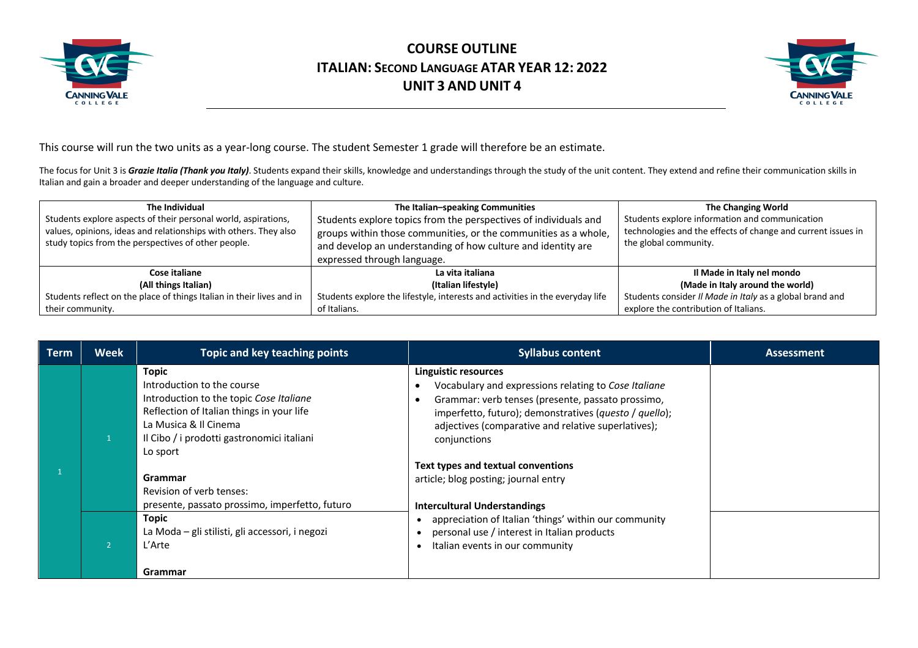



This course will run the two units as a year-long course. The student Semester 1 grade will therefore be an estimate.

The focus for Unit 3 is Grazie Italia (Thank you Italy). Students expand their skills, knowledge and understandings through the study of the unit content. They extend and refine their communication skills in Italian and gain a broader and deeper understanding of the language and culture.

| The Individual                                                        | The Italian-speaking Communities                                              | The Changing World                                           |
|-----------------------------------------------------------------------|-------------------------------------------------------------------------------|--------------------------------------------------------------|
| Students explore aspects of their personal world, aspirations,        | Students explore topics from the perspectives of individuals and              | Students explore information and communication               |
| values, opinions, ideas and relationships with others. They also      | groups within those communities, or the communities as a whole,               | technologies and the effects of change and current issues in |
| study topics from the perspectives of other people.                   | and develop an understanding of how culture and identity are                  | the global community.                                        |
|                                                                       | expressed through language.                                                   |                                                              |
| Cose italiane                                                         | La vita italiana                                                              | Il Made in Italy nel mondo                                   |
| (All things Italian)                                                  | (Italian lifestyle)                                                           | (Made in Italy around the world)                             |
| Students reflect on the place of things Italian in their lives and in | Students explore the lifestyle, interests and activities in the everyday life | Students consider Il Made in Italy as a global brand and     |
| their community.                                                      | of Italians.                                                                  | explore the contribution of Italians.                        |

| Term | <b>Week</b> | Topic and key teaching points                                                                                                                                                                                         | <b>Syllabus content</b>                                                                                                                                                                                                                                            | <b>Assessment</b> |
|------|-------------|-----------------------------------------------------------------------------------------------------------------------------------------------------------------------------------------------------------------------|--------------------------------------------------------------------------------------------------------------------------------------------------------------------------------------------------------------------------------------------------------------------|-------------------|
|      |             | <b>Topic</b><br>Introduction to the course<br>Introduction to the topic Cose Italiane<br>Reflection of Italian things in your life<br>La Musica & Il Cinema<br>Il Cibo / i prodotti gastronomici italiani<br>Lo sport | Linguistic resources<br>Vocabulary and expressions relating to Cose Italiane<br>Grammar: verb tenses (presente, passato prossimo,<br>imperfetto, futuro); demonstratives (questo / quello);<br>adjectives (comparative and relative superlatives);<br>conjunctions |                   |
|      |             | Grammar<br>Revision of verb tenses:<br>presente, passato prossimo, imperfetto, futuro                                                                                                                                 | Text types and textual conventions<br>article; blog posting; journal entry<br><b>Intercultural Understandings</b>                                                                                                                                                  |                   |
|      |             | <b>Topic</b><br>La Moda – gli stilisti, gli accessori, i negozi<br>L'Arte                                                                                                                                             | appreciation of Italian 'things' within our community<br>personal use / interest in Italian products<br>Italian events in our community                                                                                                                            |                   |
|      |             | Grammar                                                                                                                                                                                                               |                                                                                                                                                                                                                                                                    |                   |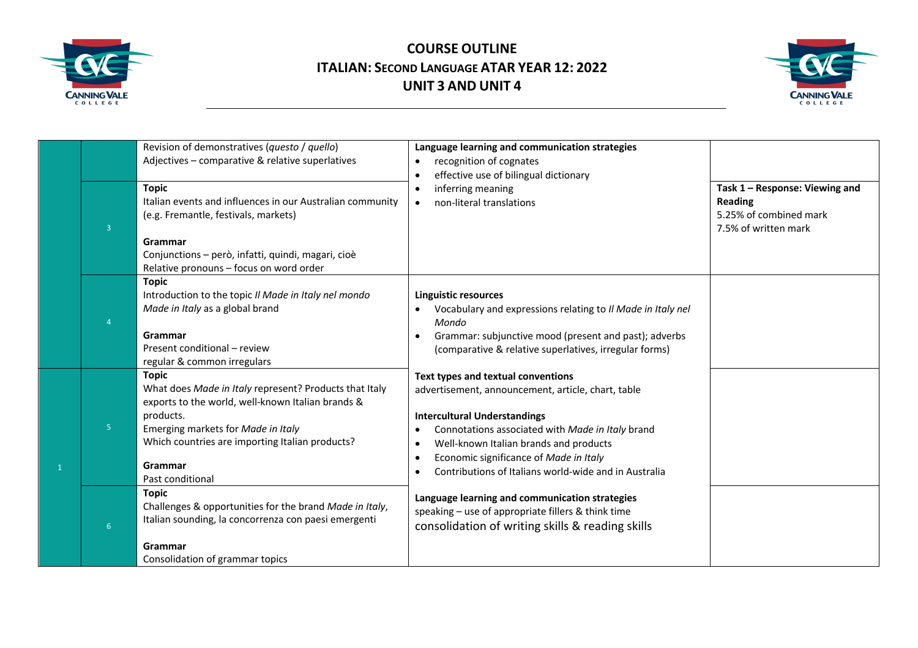



| $\overline{3}$ | Revision of demonstratives (questo / quello)<br>Adjectives - comparative & relative superlatives<br><b>Topic</b><br>Italian events and influences in our Australian community<br>(e.g. Fremantle, festivals, markets)<br>Grammar<br>Conjunctions - però, infatti, quindi, magari, cioè<br>Relative pronouns - focus on word order | Language learning and communication strategies<br>recognition of cognates<br>$\bullet$<br>effective use of bilingual dictionary<br>$\bullet$<br>inferring meaning<br>$\bullet$<br>non-literal translations                                                                                                                                                                   | Task 1 - Response: Viewing and<br><b>Reading</b><br>5.25% of combined mark<br>7.5% of written mark |
|----------------|-----------------------------------------------------------------------------------------------------------------------------------------------------------------------------------------------------------------------------------------------------------------------------------------------------------------------------------|------------------------------------------------------------------------------------------------------------------------------------------------------------------------------------------------------------------------------------------------------------------------------------------------------------------------------------------------------------------------------|----------------------------------------------------------------------------------------------------|
|                | <b>Topic</b><br>Introduction to the topic Il Made in Italy nel mondo<br>Made in Italy as a global brand<br>Grammar<br>Present conditional - review<br>regular & common irregulars                                                                                                                                                 | Linguistic resources<br>Vocabulary and expressions relating to Il Made in Italy nel<br>Mondo<br>Grammar: subjunctive mood (present and past); adverbs<br>$\bullet$<br>(comparative & relative superlatives, irregular forms)                                                                                                                                                 |                                                                                                    |
| 5 <sup>1</sup> | <b>Topic</b><br>What does Made in Italy represent? Products that Italy<br>exports to the world, well-known Italian brands &<br>products.<br>Emerging markets for Made in Italy<br>Which countries are importing Italian products?<br>Grammar<br>Past conditional                                                                  | Text types and textual conventions<br>advertisement, announcement, article, chart, table<br><b>Intercultural Understandings</b><br>Connotations associated with Made in Italy brand<br>٠<br>Well-known Italian brands and products<br>$\bullet$<br>Economic significance of Made in Italy<br>$\bullet$<br>Contributions of Italians world-wide and in Australia<br>$\bullet$ |                                                                                                    |
| 6              | <b>Topic</b><br>Challenges & opportunities for the brand Made in Italy,<br>Italian sounding, la concorrenza con paesi emergenti<br>Grammar<br>Consolidation of grammar topics                                                                                                                                                     | Language learning and communication strategies<br>speaking - use of appropriate fillers & think time<br>consolidation of writing skills & reading skills                                                                                                                                                                                                                     |                                                                                                    |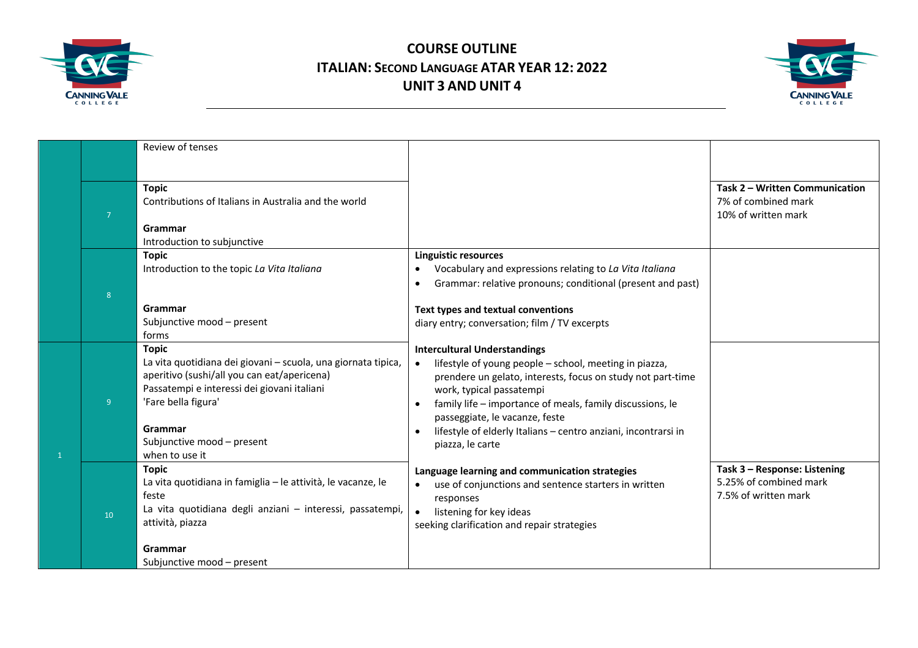



|                |                | Review of tenses                                                                                                                                                                                                                                              |                                                                                                                                                                                                                                                                                                                                                                               |                                                                                |
|----------------|----------------|---------------------------------------------------------------------------------------------------------------------------------------------------------------------------------------------------------------------------------------------------------------|-------------------------------------------------------------------------------------------------------------------------------------------------------------------------------------------------------------------------------------------------------------------------------------------------------------------------------------------------------------------------------|--------------------------------------------------------------------------------|
|                | $\overline{7}$ | <b>Topic</b><br>Contributions of Italians in Australia and the world<br>Grammar<br>Introduction to subjunctive                                                                                                                                                |                                                                                                                                                                                                                                                                                                                                                                               | Task 2 - Written Communication<br>7% of combined mark<br>10% of written mark   |
|                | 8              | <b>Topic</b><br>Introduction to the topic La Vita Italiana<br>Grammar<br>Subjunctive mood - present<br>forms                                                                                                                                                  | <b>Linguistic resources</b><br>Vocabulary and expressions relating to La Vita Italiana<br>$\bullet$<br>Grammar: relative pronouns; conditional (present and past)<br>$\bullet$<br>Text types and textual conventions<br>diary entry; conversation; film / TV excerpts                                                                                                         |                                                                                |
| $\overline{1}$ | 9 <sup>°</sup> | <b>Topic</b><br>La vita quotidiana dei giovani - scuola, una giornata tipica,<br>aperitivo (sushi/all you can eat/apericena)<br>Passatempi e interessi dei giovani italiani<br>'Fare bella figura'<br>Grammar<br>Subjunctive mood - present<br>when to use it | <b>Intercultural Understandings</b><br>lifestyle of young people - school, meeting in piazza,<br>prendere un gelato, interests, focus on study not part-time<br>work, typical passatempi<br>family life - importance of meals, family discussions, le<br>passeggiate, le vacanze, feste<br>lifestyle of elderly Italians - centro anziani, incontrarsi in<br>piazza, le carte |                                                                                |
|                | 10             | <b>Topic</b><br>La vita quotidiana in famiglia - le attività, le vacanze, le<br>feste<br>La vita quotidiana degli anziani - interessi, passatempi,<br>attività, piazza                                                                                        | Language learning and communication strategies<br>use of conjunctions and sentence starters in written<br>responses<br>listening for key ideas<br>seeking clarification and repair strategies                                                                                                                                                                                 | Task 3 - Response: Listening<br>5.25% of combined mark<br>7.5% of written mark |
|                |                | Grammar<br>Subjunctive mood - present                                                                                                                                                                                                                         |                                                                                                                                                                                                                                                                                                                                                                               |                                                                                |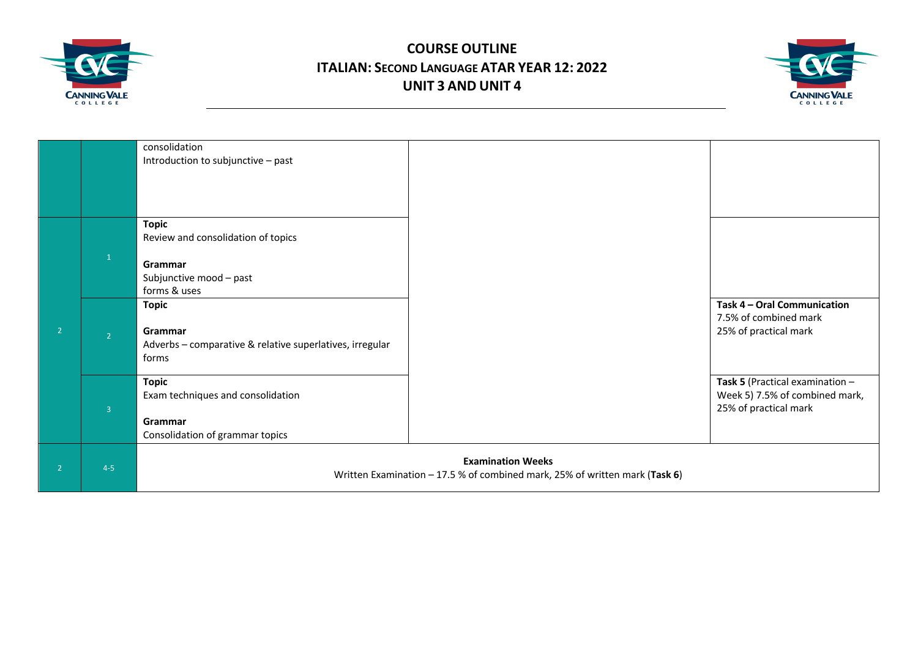



|                |                | consolidation                                            |                                                                             |                                 |
|----------------|----------------|----------------------------------------------------------|-----------------------------------------------------------------------------|---------------------------------|
|                |                | Introduction to subjunctive - past                       |                                                                             |                                 |
|                |                |                                                          |                                                                             |                                 |
|                |                |                                                          |                                                                             |                                 |
|                |                |                                                          |                                                                             |                                 |
|                |                |                                                          |                                                                             |                                 |
|                |                | <b>Topic</b>                                             |                                                                             |                                 |
|                |                | Review and consolidation of topics                       |                                                                             |                                 |
|                |                |                                                          |                                                                             |                                 |
|                | $\mathbf{1}$   | Grammar                                                  |                                                                             |                                 |
|                |                | Subjunctive mood - past                                  |                                                                             |                                 |
|                |                | forms & uses                                             |                                                                             |                                 |
|                |                |                                                          |                                                                             | Task 4 - Oral Communication     |
|                |                | <b>Topic</b>                                             |                                                                             |                                 |
|                |                |                                                          |                                                                             | 7.5% of combined mark           |
| $\overline{2}$ | $\overline{2}$ | Grammar                                                  |                                                                             | 25% of practical mark           |
|                |                | Adverbs - comparative & relative superlatives, irregular |                                                                             |                                 |
|                |                | forms                                                    |                                                                             |                                 |
|                |                |                                                          |                                                                             |                                 |
|                |                | <b>Topic</b>                                             |                                                                             | Task 5 (Practical examination - |
|                |                | Exam techniques and consolidation                        |                                                                             | Week 5) 7.5% of combined mark,  |
|                | $\overline{3}$ |                                                          |                                                                             | 25% of practical mark           |
|                |                | Grammar                                                  |                                                                             |                                 |
|                |                | Consolidation of grammar topics                          |                                                                             |                                 |
|                |                |                                                          |                                                                             |                                 |
| $\overline{2}$ | $4 - 5$        |                                                          | <b>Examination Weeks</b>                                                    |                                 |
|                |                |                                                          | Written Examination - 17.5 % of combined mark, 25% of written mark (Task 6) |                                 |
|                |                |                                                          |                                                                             |                                 |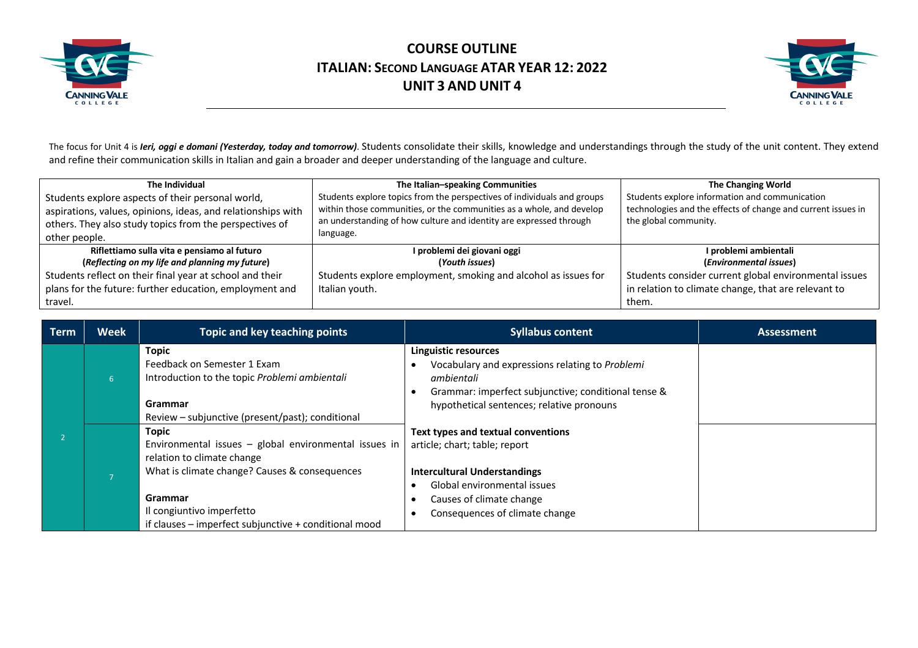



The focus for Unit 4 is *Ieri, oggi e domani (Yesterday, today and tomorrow)*. Students consolidate their skills, knowledge and understandings through the study of the unit content. They extend and refine their communication skills in Italian and gain a broader and deeper understanding of the language and culture.

| The Individual                                               | The Italian-speaking Communities                                        | <b>The Changing World</b>                                    |
|--------------------------------------------------------------|-------------------------------------------------------------------------|--------------------------------------------------------------|
| Students explore aspects of their personal world,            | Students explore topics from the perspectives of individuals and groups | Students explore information and communication               |
| aspirations, values, opinions, ideas, and relationships with | within those communities, or the communities as a whole, and develop    | technologies and the effects of change and current issues in |
| others. They also study topics from the perspectives of      | an understanding of how culture and identity are expressed through      | the global community.                                        |
| other people.                                                | language.                                                               |                                                              |
| Riflettiamo sulla vita e pensiamo al futuro                  | I problemi dei giovani oggi                                             | I problemi ambientali                                        |
| (Reflecting on my life and planning my future)               | (Youth issues)                                                          | (Environmental issues)                                       |
| Students reflect on their final year at school and their     | Students explore employment, smoking and alcohol as issues for          | Students consider current global environmental issues        |
| plans for the future: further education, employment and      | Italian youth.                                                          | in relation to climate change, that are relevant to          |
| travel.                                                      |                                                                         | them.                                                        |

| Term | <b>Week</b>    | Topic and key teaching points                                                                                                                                                                                                                      | <b>Syllabus content</b>                                                                                                                                                                                 | <b>Assessment</b> |
|------|----------------|----------------------------------------------------------------------------------------------------------------------------------------------------------------------------------------------------------------------------------------------------|---------------------------------------------------------------------------------------------------------------------------------------------------------------------------------------------------------|-------------------|
|      | 6 <sup>1</sup> | Topic<br>Feedback on Semester 1 Exam<br>Introduction to the topic Problemi ambientali<br>Grammar<br>Review - subjunctive (present/past); conditional                                                                                               | Linguistic resources<br>Vocabulary and expressions relating to Problemi<br>ambientali<br>Grammar: imperfect subjunctive; conditional tense &<br>hypothetical sentences; relative pronouns               |                   |
|      |                | Topic<br>Environmental issues - global environmental issues in<br>relation to climate change<br>What is climate change? Causes & consequences<br>Grammar<br>Il congiuntivo imperfetto<br>if clauses $-$ imperfect subjunctive $+$ conditional mood | Text types and textual conventions<br>article; chart; table; report<br><b>Intercultural Understandings</b><br>Global environmental issues<br>Causes of climate change<br>Consequences of climate change |                   |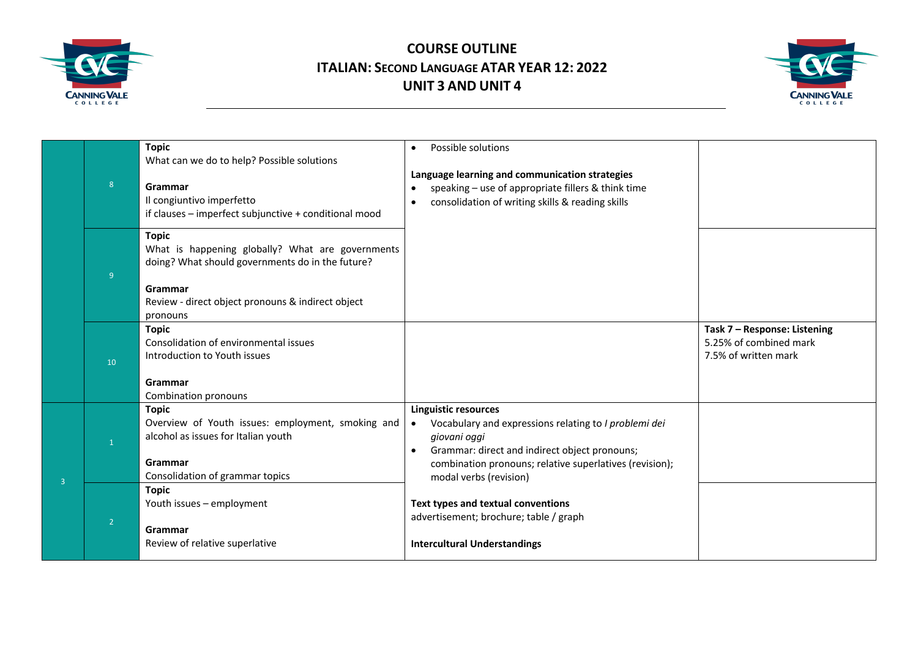



|                |                | <b>Topic</b>                                                                                                                    |                                                                                                                                                                                    |                                                                                |
|----------------|----------------|---------------------------------------------------------------------------------------------------------------------------------|------------------------------------------------------------------------------------------------------------------------------------------------------------------------------------|--------------------------------------------------------------------------------|
|                |                |                                                                                                                                 | Possible solutions<br>$\bullet$                                                                                                                                                    |                                                                                |
|                |                | What can we do to help? Possible solutions                                                                                      |                                                                                                                                                                                    |                                                                                |
|                | 8 <sup>°</sup> | Grammar<br>Il congiuntivo imperfetto<br>if clauses - imperfect subjunctive + conditional mood                                   | Language learning and communication strategies<br>speaking - use of appropriate fillers & think time<br>$\bullet$<br>consolidation of writing skills & reading skills<br>$\bullet$ |                                                                                |
|                | 9              | <b>Topic</b><br>What is happening globally? What are governments<br>doing? What should governments do in the future?<br>Grammar |                                                                                                                                                                                    |                                                                                |
|                |                | Review - direct object pronouns & indirect object<br>pronouns                                                                   |                                                                                                                                                                                    |                                                                                |
|                | 10             | <b>Topic</b><br>Consolidation of environmental issues<br>Introduction to Youth issues                                           |                                                                                                                                                                                    | Task 7 - Response: Listening<br>5.25% of combined mark<br>7.5% of written mark |
|                |                | Grammar<br>Combination pronouns                                                                                                 |                                                                                                                                                                                    |                                                                                |
|                | $\mathbf{1}$   | <b>Topic</b><br>Overview of Youth issues: employment, smoking and<br>alcohol as issues for Italian youth                        | <b>Linguistic resources</b><br>Vocabulary and expressions relating to I problemi dei<br>$\bullet$<br>giovani oggi<br>Grammar: direct and indirect object pronouns;<br>$\bullet$    |                                                                                |
| $\overline{3}$ |                | Grammar<br>Consolidation of grammar topics                                                                                      | combination pronouns; relative superlatives (revision);<br>modal verbs (revision)                                                                                                  |                                                                                |
|                | $\overline{2}$ | <b>Topic</b><br>Youth issues - employment<br>Grammar                                                                            | Text types and textual conventions<br>advertisement; brochure; table / graph                                                                                                       |                                                                                |
|                |                | Review of relative superlative                                                                                                  | <b>Intercultural Understandings</b>                                                                                                                                                |                                                                                |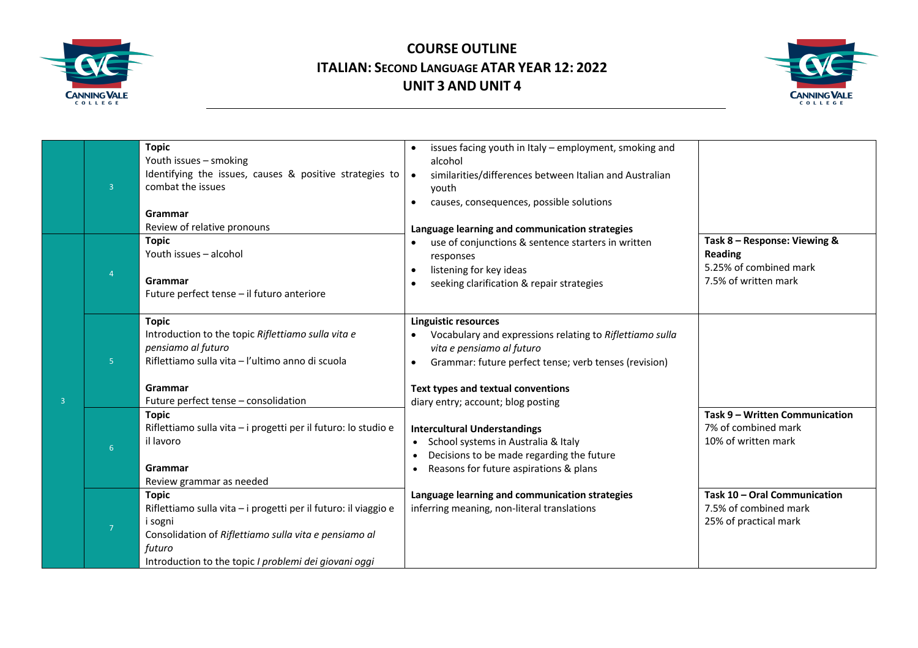



|                | $\overline{3}$ | <b>Topic</b><br>Youth issues - smoking<br>Identifying the issues, causes & positive strategies to<br>combat the issues<br>Grammar                                                                                      | issues facing youth in Italy - employment, smoking and<br>alcohol<br>similarities/differences between Italian and Australian<br>$\bullet$<br>vouth<br>causes, consequences, possible solutions                                                            |                                                                                           |
|----------------|----------------|------------------------------------------------------------------------------------------------------------------------------------------------------------------------------------------------------------------------|-----------------------------------------------------------------------------------------------------------------------------------------------------------------------------------------------------------------------------------------------------------|-------------------------------------------------------------------------------------------|
|                |                | Review of relative pronouns<br><b>Topic</b><br>Youth issues - alcohol<br>Grammar<br>Future perfect tense - il futuro anteriore                                                                                         | Language learning and communication strategies<br>use of conjunctions & sentence starters in written<br>$\bullet$<br>responses<br>listening for key ideas<br>seeking clarification & repair strategies                                                    | Task 8 - Response: Viewing &<br>Reading<br>5.25% of combined mark<br>7.5% of written mark |
| $\overline{3}$ | 5 <sup>1</sup> | <b>Topic</b><br>Introduction to the topic Riflettiamo sulla vita e<br>pensiamo al futuro<br>Riflettiamo sulla vita - l'ultimo anno di scuola<br>Grammar<br>Future perfect tense - consolidation                        | <b>Linguistic resources</b><br>Vocabulary and expressions relating to Riflettiamo sulla<br>vita e pensiamo al futuro<br>Grammar: future perfect tense; verb tenses (revision)<br>Text types and textual conventions<br>diary entry; account; blog posting |                                                                                           |
|                | 6 <sup>1</sup> | <b>Topic</b><br>Riflettiamo sulla vita - i progetti per il futuro: lo studio e<br>il lavoro<br>Grammar<br>Review grammar as needed                                                                                     | <b>Intercultural Understandings</b><br>School systems in Australia & Italy<br>Decisions to be made regarding the future<br>Reasons for future aspirations & plans                                                                                         | Task 9 - Written Communication<br>7% of combined mark<br>10% of written mark              |
|                | $\overline{7}$ | <b>Topic</b><br>Riflettiamo sulla vita - i progetti per il futuro: il viaggio e<br>i sogni<br>Consolidation of Riflettiamo sulla vita e pensiamo al<br>futuro<br>Introduction to the topic I problemi dei giovani oggi | Language learning and communication strategies<br>inferring meaning, non-literal translations                                                                                                                                                             | Task 10 - Oral Communication<br>7.5% of combined mark<br>25% of practical mark            |